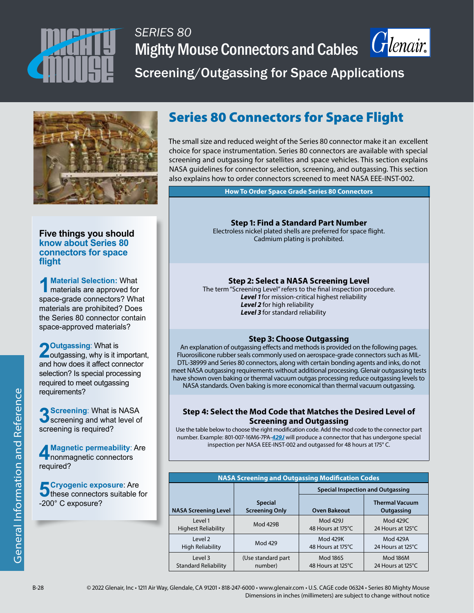

## *SERIES 80* Mighty Mouse Connectors and Cables *Crlenair*.



Screening/Outgassing for Space Applications



#### **Five things you should know about Series 80 connectors for space flight**

**1Material Selection:** What materials are approved for space-grade connectors? What materials are prohibited? Does the Series 80 connector contain space-approved materials?

**2** Outgassing: What is<br>
outgassing, why is it important, and how does it affect connector selection? Is special processing required to meet outgassing requirements?

**3 Screening**: What is NASA<br> **3** screening and what level of screening is required?

**4** Magnetic permeability: Are<br>**nonmagnetic connectors** required?

**5** Cryogenic exposure: Are<br>
these connectors suitable for<br> **1908** Current of -200° C exposure?

### Series 80 Connectors for Space Flight

The small size and reduced weight of the Series 80 connector make it an excellent choice for space instrumentation. Series 80 connectors are available with special screening and outgassing for satellites and space vehicles. This section explains NASA guidelines for connector selection, screening, and outgassing. This section also explains how to order connectors screened to meet NASA EEE-INST-002.

**How To Order Space Grade Series 80 Connectors**

**Step 1: Find a Standard Part Number** Electroless nickel plated shells are preferred for space flight. Cadmium plating is prohibited.

#### **Step 2: Select a NASA Screening Level**

The term "Screening Level" refers to the final inspection procedure. *Level 1* for mission-critical highest reliability Level 2 for high reliability *Level 3* for standard reliability

#### **Step 3: Choose Outgassing**

An explanation of outgassing effects and methods is provided on the following pages. Fluorosilicone rubber seals commonly used on aerospace-grade connectors such as MIL-DTL-38999 and Series 80 connectors, along with certain bonding agents and inks, do not meet NASA outgassing requirements without additional processing. Glenair outgassing tests have shown oven baking or thermal vacuum outgas processing reduce outgassing levels to NASA standards. Oven baking is more economical than thermal vacuum outgassing.

#### **Step 4: Select the Mod Code that Matches the Desired Level of Screening and Outgassing**

Use the table below to choose the right modification code. Add the mod code to the connector part number. Example: 801-007-16M6-7PA-*429J* will produce a connector that has undergone special inspection per NASA EEE-INST-002 and outgassed for 48 hours at 175° C.

| <b>NASA Screening and Outgassing Modification Codes</b> |                                         |                                          |                                     |  |  |  |
|---------------------------------------------------------|-----------------------------------------|------------------------------------------|-------------------------------------|--|--|--|
|                                                         |                                         | <b>Special Inspection and Outgassing</b> |                                     |  |  |  |
| <b>NASA Screening Level</b>                             | <b>Special</b><br><b>Screening Only</b> | <b>Oven Bakeout</b>                      | <b>Thermal Vacuum</b><br>Outgassing |  |  |  |
| l evel 1                                                | <b>Mod 429B</b>                         | Mod 429J                                 | Mod 429C                            |  |  |  |
| <b>Highest Reliability</b>                              |                                         | 48 Hours at 175°C                        | 24 Hours at 125°C                   |  |  |  |
| level2                                                  | Mod 429                                 | Mod 429K                                 | Mod 429A                            |  |  |  |
| <b>High Reliability</b>                                 |                                         | 48 Hours at 175°C                        | 24 Hours at 125°C                   |  |  |  |
| Level 3                                                 | (Use standard part)                     | <b>Mod 186S</b>                          | <b>Mod 186M</b>                     |  |  |  |
| <b>Standard Reliability</b>                             | number)                                 | 48 Hours at 125°C                        | 24 Hours at 125°C                   |  |  |  |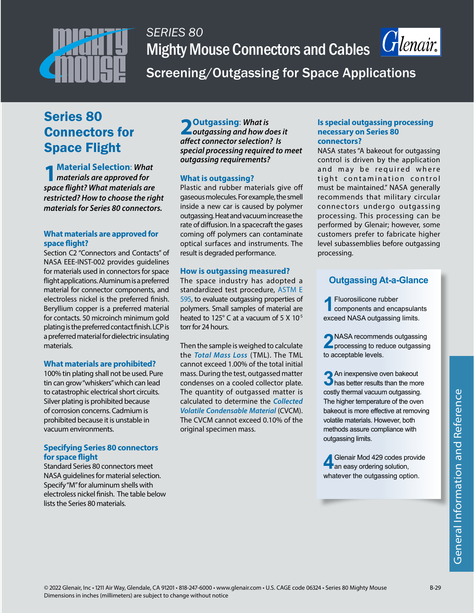

## *SERIES 80* **Mighty Mouse Connectors and Cables**



Screening/Outgassing for Space Applications

### Series 80 Connectors for Space Flight

**1Material Selection**: *What materials are approved for space flight? What materials are restricted? How to choose the right materials for Series 80 connectors.*

#### **What materials are approved for space flight?**

Section C2 "Connectors and Contacts" of NASA EEE-INST-002 provides guidelines for materials used in connectors for space flight applications. Aluminum is a preferred material for connector components, and electroless nickel is the preferred finish. Beryllium copper is a preferred material for contacts. 50 microinch minimum gold plating is the preferred contact finish. LCP is a preferred material for dielectric insulating materials.

#### **What materials are prohibited?**

100% tin plating shall not be used. Pure tin can grow "whiskers" which can lead to catastrophic electrical short circuits. Silver plating is prohibited because of corrosion concerns. Cadmium is prohibited because it is unstable in vacuum environments.

#### **Specifying Series 80 connectors for space flight**

Standard Series 80 connectors meet NASA guidelines for material selection. Specify "M" for aluminum shells with electroless nickel finish. The table below lists the Series 80 materials.

**2 Outgassing**: *What is outgassing and how does it affect connector selection? Is special processing required to meet outgassing requirements?*

#### **What is outgassing?**

Plastic and rubber materials give off gaseous molecules. For example, the smell inside a new car is caused by polymer outgassing. Heat and vacuum increase the rate of diffusion. In a spacecraft the gases coming off polymers can contaminate optical surfaces and instruments. The result is degraded performance.

#### **How is outgassing measured?**

The space industry has adopted a standardized test procedure, ASTM E 595, to evaluate outgassing properties of polymers. Small samples of material are heated to 125° C at a vacuum of 5 X 10<sup>-5</sup> torr for 24 hours.

Then the sample is weighed to calculate the *Total Mass Loss* (TML). The TML cannot exceed 1.00% of the total initial mass. During the test, outgassed matter condenses on a cooled collector plate. The quantity of outgassed matter is calculated to determine the *Collected Volatile Condensable Material* (CVCM). The CVCM cannot exceed 0.10% of the original specimen mass.

#### **Is special outgassing processing necessary on Series 80 connectors?**

NASA states "A bakeout for outgassing control is driven by the application and may be required where tight contamination control must be maintained." NASA generally recommends that military circular connectors undergo outgassing processing. This processing can be performed by Glenair; however, some customers prefer to fabricate higher level subassemblies before outgassing processing.

#### **Outgassing At-a-Glance**

**1Fluorosilicone rubber**<br>
components and encapsulants exceed NASA outgassing limits.

**2**NASA recommends outgassing<br>processing to reduce outgassing to acceptable levels.

**3**An inexpensive oven bakeout<br>**b** has better results than the more costly thermal vacuum outgassing. The higher temperature of the oven bakeout is more effective at removing volatile materials. However, both methods assure compliance with outgassing limits.

**4**Glenair Mod 429 codes provide<br> **a**n easy ordering solution, whatever the outgassing option.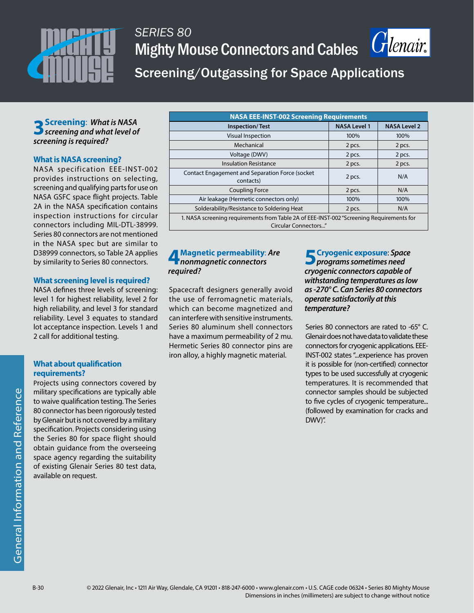

# *SERIES 80* Mighty Mouse Connectors and Cables



Screening/Outgassing for Space Applications

### **3Screening**: *What is NASA screening and what level of screening is required?*

#### **What is NASA screening?**

NASA specification EEE-INST-002 provides instructions on selecting, screening and qualifying parts for use on NASA GSFC space flight projects. Table 2A in the NASA specification contains inspection instructions for circular connectors including MIL-DTL-38999. Series 80 connectors are not mentioned in the NASA spec but are similar to D38999 connectors, so Table 2A applies by similarity to Series 80 connectors.

#### **What screening level is required?**

NASA defines three levels of screening: level 1 for highest reliability, level 2 for high reliability, and level 3 for standard reliability. Level 3 equates to standard lot acceptance inspection. Levels 1 and 2 call for additional testing.

#### **What about qualification requirements?**

Projects using connectors covered by military specifications are typically able to waive qualification testing. The Series 80 connector has been rigorously tested by Glenair but is not covered by a military specification. Projects considering using the Series 80 for space flight should obtain guidance from the overseeing space agency regarding the suitability of existing Glenair Series 80 test data, available on request.

| <b>NASA EEE-INST-002 Screening Requirements</b>                                                                  |                     |                     |  |  |  |
|------------------------------------------------------------------------------------------------------------------|---------------------|---------------------|--|--|--|
| <b>Inspection/Test</b>                                                                                           | <b>NASA Level 1</b> | <b>NASA Level 2</b> |  |  |  |
| <b>Visual Inspection</b>                                                                                         | 100%                | 100%                |  |  |  |
| Mechanical                                                                                                       | 2 pcs.              | 2 pcs.              |  |  |  |
| Voltage (DWV)                                                                                                    | 2 pcs.              | 2 pcs.              |  |  |  |
| <b>Insulation Resistance</b>                                                                                     | 2 pcs.              | 2 pcs.              |  |  |  |
| <b>Contact Engagement and Separation Force (socket)</b><br>contacts)                                             | 2 pcs.              | N/A                 |  |  |  |
| <b>Coupling Force</b>                                                                                            | 2 pcs.              | N/A                 |  |  |  |
| Air leakage (Hermetic connectors only)                                                                           | 100%                | 100%                |  |  |  |
| Solderability/Resistance to Soldering Heat                                                                       | 2 pcs.              | N/A                 |  |  |  |
| 1. NASA screening requirements from Table 2A of EEE-INST-002 "Screening Requirements for<br>Circular Connectors" |                     |                     |  |  |  |

#### **4Magnetic permeability**: *Are nonmagnetic connectors required?*

Spacecraft designers generally avoid the use of ferromagnetic materials, which can become magnetized and can interfere with sensitive instruments. Series 80 aluminum shell connectors have a maximum permeability of 2 mu. Hermetic Series 80 connector pins are iron alloy, a highly magnetic material.

**5Cryogenic exposure**: *Space programs sometimes need cryogenic connectors capable of withstanding temperatures as low as -270° C. Can Series 80 connectors operate satisfactorily at this temperature?*

Series 80 connectors are rated to -65° C. Glenair does not have data to validate these connectors for cryogenic applications. EEE-INST-002 states "...experience has proven it is possible for (non-certified) connector types to be used successfully at cryogenic temperatures. It is recommended that connector samples should be subjected to five cycles of cryogenic temperature... (followed by examination for cracks and DWV)".